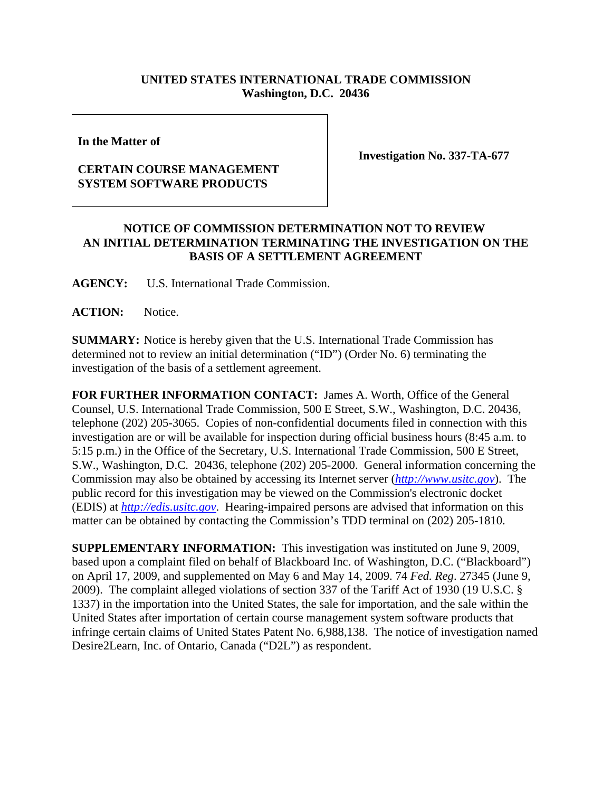## **UNITED STATES INTERNATIONAL TRADE COMMISSION Washington, D.C. 20436**

**In the Matter of**

## **CERTAIN COURSE MANAGEMENT SYSTEM SOFTWARE PRODUCTS**

**Investigation No. 337-TA-677**

## **NOTICE OF COMMISSION DETERMINATION NOT TO REVIEW AN INITIAL DETERMINATION TERMINATING THE INVESTIGATION ON THE BASIS OF A SETTLEMENT AGREEMENT**

**AGENCY:** U.S. International Trade Commission.

**ACTION:** Notice.

**SUMMARY:** Notice is hereby given that the U.S. International Trade Commission has determined not to review an initial determination ("ID") (Order No. 6) terminating the investigation of the basis of a settlement agreement.

**FOR FURTHER INFORMATION CONTACT:** James A. Worth, Office of the General Counsel, U.S. International Trade Commission, 500 E Street, S.W., Washington, D.C. 20436, telephone (202) 205-3065. Copies of non-confidential documents filed in connection with this investigation are or will be available for inspection during official business hours (8:45 a.m. to 5:15 p.m.) in the Office of the Secretary, U.S. International Trade Commission, 500 E Street, S.W., Washington, D.C. 20436, telephone (202) 205-2000. General information concerning the Commission may also be obtained by accessing its Internet server (*http://www.usitc.gov*). The public record for this investigation may be viewed on the Commission's electronic docket (EDIS) at *http://edis.usitc.gov*. Hearing-impaired persons are advised that information on this matter can be obtained by contacting the Commission's TDD terminal on (202) 205-1810.

**SUPPLEMENTARY INFORMATION:** This investigation was instituted on June 9, 2009, based upon a complaint filed on behalf of Blackboard Inc. of Washington, D.C. ("Blackboard") on April 17, 2009, and supplemented on May 6 and May 14, 2009. 74 *Fed. Reg*. 27345 (June 9, 2009). The complaint alleged violations of section 337 of the Tariff Act of 1930 (19 U.S.C. § 1337) in the importation into the United States, the sale for importation, and the sale within the United States after importation of certain course management system software products that infringe certain claims of United States Patent No. 6,988,138. The notice of investigation named Desire2Learn, Inc. of Ontario, Canada ("D2L") as respondent.